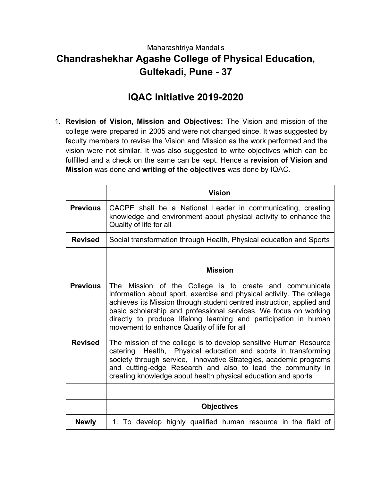## Maharashtriya Mandal's **Chandrashekhar Agashe College of Physical Education, Gultekadi, Pune - 37**

## **IQAC Initiative 2019-2020**

1. **Revision of Vision, Mission and Objectives:** The Vision and mission of the college were prepared in 2005 and were not changed since. It was suggested by faculty members to revise the Vision and Mission as the work performed and the vision were not similar. It was also suggested to write objectives which can be fulfilled and a check on the same can be kept. Hence a **revision of Vision and Mission** was done and **writing of the objectives** was done by IQAC.

|                 | <b>Vision</b>                                                                                                                                                                                                                                                                                                                                                                                   |
|-----------------|-------------------------------------------------------------------------------------------------------------------------------------------------------------------------------------------------------------------------------------------------------------------------------------------------------------------------------------------------------------------------------------------------|
| <b>Previous</b> | CACPE shall be a National Leader in communicating, creating<br>knowledge and environment about physical activity to enhance the<br>Quality of life for all                                                                                                                                                                                                                                      |
| <b>Revised</b>  | Social transformation through Health, Physical education and Sports                                                                                                                                                                                                                                                                                                                             |
|                 |                                                                                                                                                                                                                                                                                                                                                                                                 |
|                 | <b>Mission</b>                                                                                                                                                                                                                                                                                                                                                                                  |
| <b>Previous</b> | The Mission of the College is to create and communicate<br>information about sport, exercise and physical activity. The college<br>achieves its Mission through student centred instruction, applied and<br>basic scholarship and professional services. We focus on working<br>directly to produce lifelong learning and participation in human<br>movement to enhance Quality of life for all |
| <b>Revised</b>  | The mission of the college is to develop sensitive Human Resource<br>catering Health, Physical education and sports in transforming<br>society through service, innovative Strategies, academic programs<br>and cutting-edge Research and also to lead the community in<br>creating knowledge about health physical education and sports                                                        |
|                 |                                                                                                                                                                                                                                                                                                                                                                                                 |
|                 | <b>Objectives</b>                                                                                                                                                                                                                                                                                                                                                                               |
| <b>Newly</b>    | 1. To develop highly qualified human resource in the field of                                                                                                                                                                                                                                                                                                                                   |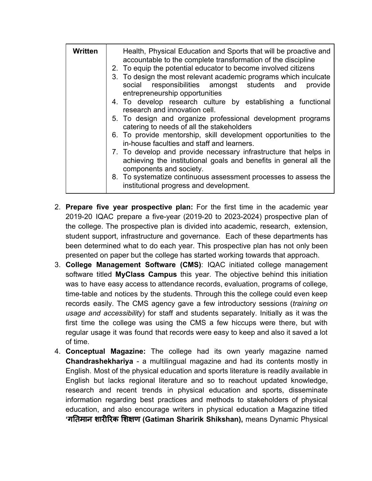| Written | Health, Physical Education and Sports that will be proactive and<br>accountable to the complete transformation of the discipline<br>2. To equip the potential educator to become involved citizens<br>3. To design the most relevant academic programs which inculcate<br>social responsibilities amongst students and<br>provide<br>entrepreneurship opportunities |
|---------|---------------------------------------------------------------------------------------------------------------------------------------------------------------------------------------------------------------------------------------------------------------------------------------------------------------------------------------------------------------------|
|         | 4. To develop research culture by establishing a functional<br>research and innovation cell.                                                                                                                                                                                                                                                                        |
|         | 5. To design and organize professional development programs<br>catering to needs of all the stakeholders                                                                                                                                                                                                                                                            |
|         | 6. To provide mentorship, skill development opportunities to the<br>in-house faculties and staff and learners.                                                                                                                                                                                                                                                      |
|         | 7. To develop and provide necessary infrastructure that helps in<br>achieving the institutional goals and benefits in general all the<br>components and society.                                                                                                                                                                                                    |
|         | 8. To systematize continuous assessment processes to assess the<br>institutional progress and development.                                                                                                                                                                                                                                                          |

- 2. **Prepare five year prospective plan:** For the first time in the academic year 2019-20 IQAC prepare a five-year (2019-20 to 2023-2024) prospective plan of the college. The prospective plan is divided into academic, research, extension, student support, infrastructure and governance. Each of these departments has been determined what to do each year. This prospective plan has not only been presented on paper but the college has started working towards that approach.
- 3. **College Management Software (CMS)**: IQAC initiated college management software titled **MyClass Campus** this year. The objective behind this initiation was to have easy access to attendance records, evaluation, programs of college, time-table and notices by the students. Through this the college could even keep records easily. The CMS agency gave a few introductory sessions (*training on usage and accessibility*) for staff and students separately. Initially as it was the first time the college was using the CMS a few hiccups were there, but with regular usage it was found that records were easy to keep and also it saved a lot of time.
- 4. **Conceptual Magazine:** The college had its own yearly magazine named **Chandrashekhariya** - a multilingual magazine and had its contents mostly in English. Most of the physical education and sports literature is readily available in English but lacks regional literature and so to reachout updated knowledge, research and recent trends in physical education and sports, disseminate information regarding best practices and methods to stakeholders of physical education, and also encourage writers in physical education a Magazine titled **'**गतमान शाररक शण **(Gatiman Sharirik Shikshan),** means Dynamic Physical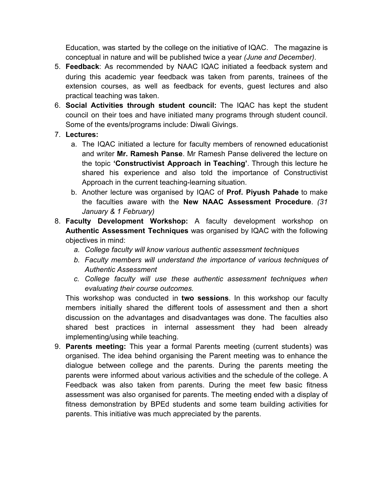Education, was started by the college on the initiative of IQAC. The magazine is conceptual in nature and will be published twice a year *(June and December)*.

- 5. **Feedback**: As recommended by NAAC IQAC initiated a feedback system and during this academic year feedback was taken from parents, trainees of the extension courses, as well as feedback for events, guest lectures and also practical teaching was taken.
- 6. **Social Activities through student council:** The IQAC has kept the student council on their toes and have initiated many programs through student council. Some of the events/programs include: Diwali Givings.

## 7. **Lectures:**

- a. The IQAC initiated a lecture for faculty members of renowned educationist and writer **Mr. Ramesh Panse**. Mr Ramesh Panse delivered the lecture on the topic **'Constructivist Approach in Teaching'**. Through this lecture he shared his experience and also told the importance of Constructivist Approach in the current teaching-learning situation.
- b. Another lecture was organised by IQAC of **Prof. Piyush Pahade** to make the faculties aware with the **New NAAC Assessment Procedure**. *(31 January & 1 February)*
- 8. **Faculty Development Workshop:** A faculty development workshop on **Authentic Assessment Techniques** was organised by IQAC with the following objectives in mind:
	- *a. College faculty will know various authentic assessment techniques*
	- *b. Faculty members will understand the importance of various techniques of Authentic Assessment*
	- *c. College faculty will use these authentic assessment techniques when evaluating their course outcomes.*

This workshop was conducted in **two sessions**. In this workshop our faculty members initially shared the different tools of assessment and then a short discussion on the advantages and disadvantages was done. The faculties also shared best practices in internal assessment they had been already implementing/using while teaching.

9. **Parents meeting:** This year a formal Parents meeting (current students) was organised. The idea behind organising the Parent meeting was to enhance the dialogue between college and the parents. During the parents meeting the parents were informed about various activities and the schedule of the college. A Feedback was also taken from parents. During the meet few basic fitness assessment was also organised for parents. The meeting ended with a display of fitness demonstration by BPEd students and some team building activities for parents. This initiative was much appreciated by the parents.